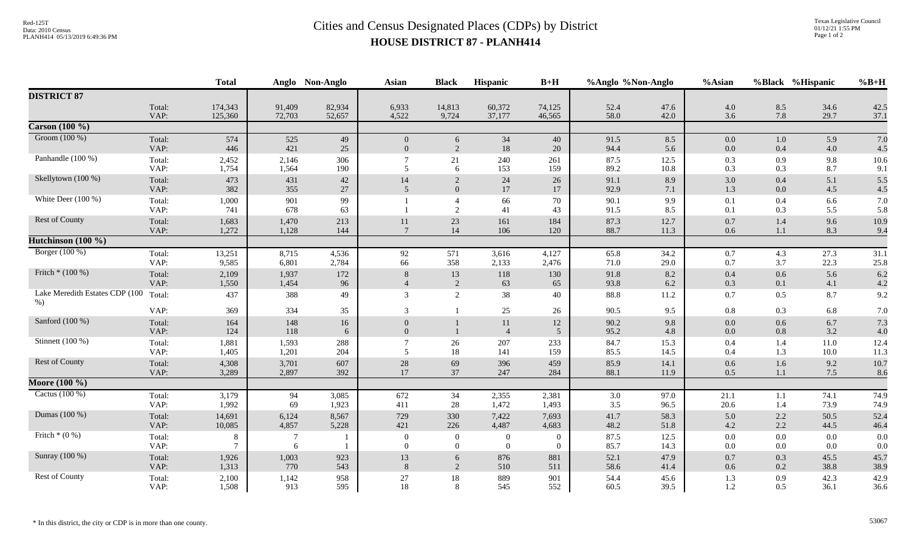## Red-125T<br>Data: 2010 Census<br>PLANH414 05/13/2019 6:49:36 PM<br>**Cities and Census Designated Places (CDPs)** by District **HOUSE DISTRICT 87 - PLANH414**

|                                         | <b>Total</b>   |                     |                     | Anglo Non-Anglo  | <b>Asian</b>                       | <b>Black</b>                     | <b>Hispanic</b>                  | $B+H$                        | %Anglo %Non-Anglo |                    | %Asian             |            | %Black %Hispanic     | $%B+H$       |
|-----------------------------------------|----------------|---------------------|---------------------|------------------|------------------------------------|----------------------------------|----------------------------------|------------------------------|-------------------|--------------------|--------------------|------------|----------------------|--------------|
| <b>DISTRICT 87</b>                      |                |                     |                     |                  |                                    |                                  |                                  |                              |                   |                    |                    |            |                      |              |
|                                         | Total:<br>VAP: | 174,343<br>125,360  | 91,409<br>72,703    | 82,934<br>52,657 | 6,933<br>4,522                     | 14,813<br>9,724                  | 60,372<br>37,177                 | 74,125<br>46,565             | 52.4<br>58.0      | 47.6<br>42.0       | 4.0<br>3.6         | 8.5<br>7.8 | 34.6<br>29.7         | 42.5<br>37.1 |
| Carson $(100\%)$                        |                |                     |                     |                  |                                    |                                  |                                  |                              |                   |                    |                    |            |                      |              |
| Groom (100 %)                           | Total:<br>VAP: | 574<br>446          | 525<br>421          | 49<br>25         | $\overline{0}$<br>$\overline{0}$   | 6<br>$\overline{2}$              | 34<br>18                         | 40<br>$20\,$                 | 91.5<br>94.4      | 8.5<br>5.6         | $0.0\,$<br>0.0     | 1.0<br>0.4 | 5.9<br>4.0           | 7.0<br>4.5   |
| Panhandle (100 %)                       | Total:<br>VAP: | 2,452<br>1,754      | 2,146<br>1,564      | 306<br>190       | 5                                  | 21<br>6                          | 240<br>153                       | 261<br>159                   | 87.5<br>89.2      | 12.5<br>10.8       | 0.3<br>0.3         | 0.9<br>0.3 | 9.8<br>8.7           | 10.6<br>9.1  |
| Skellytown (100 %)                      | Total:<br>VAP: | 473<br>382          | 431<br>355          | $42\,$<br>27     | 14<br>$\overline{5}$               | 2<br>$\overline{0}$              | 24<br>17                         | $26\,$<br>17                 | 91.1<br>92.9      | 8.9<br>7.1         | 3.0<br>1.3         | 0.4<br>0.0 | $5.1\,$<br>4.5       | 5.5<br>4.5   |
| White Deer $(100\%)$                    | Total:<br>VAP: | 1,000<br>741        | 901<br>678          | 99<br>63         |                                    | $\overline{4}$<br>$\overline{2}$ | 66<br>41                         | 70<br>43                     | 90.1<br>91.5      | 9.9<br>8.5         | 0.1<br>0.1         | 0.4<br>0.3 | 6.6<br>5.5           | 7.0<br>5.8   |
| <b>Rest of County</b>                   | Total:<br>VAP: | 1,683<br>1,272      | 1,470<br>1,128      | 213<br>144       | 11<br>-7                           | 23<br>$14\,$                     | 161<br>106                       | 184<br>120                   | 87.3<br>88.7      | 12.7<br>11.3       | 0.7<br>0.6         | 1.4<br>1.1 | 9.6<br>8.3           | 10.9<br>9.4  |
| Hutchinson (100 %)                      |                |                     |                     |                  |                                    |                                  |                                  |                              |                   |                    |                    |            |                      |              |
| Borger (100 %)                          | Total:<br>VAP: | 13,251<br>9,585     | 8,715<br>6,801      | 4,536<br>2,784   | 92<br>66                           | 571<br>358                       | 3,616<br>2,133                   | 4,127<br>2,476               | 65.8<br>71.0      | 34.2<br>29.0       | 0.7<br>0.7         | 4.3<br>3.7 | 27.3<br>22.3         | 31.1<br>25.8 |
| Fritch * (100 %)                        | Total:<br>VAP: | 2,109<br>1,550      | 1,937<br>1,454      | 172<br>96        | 8                                  | 13<br>2                          | 118<br>63                        | 130<br>65                    | 91.8<br>93.8      | $8.2\,$<br>$6.2\,$ | 0.4<br>0.3         | 0.6<br>0.1 | 5.6<br>4.1           | 6.2<br>4.2   |
| Lake Meredith Estates CDP (100<br>$%$ ) | Total:         | 437                 | 388                 | 49               | 3                                  | $\overline{2}$                   | 38                               | $40\,$                       | 88.8              | 11.2               | 0.7                | 0.5        | 8.7                  | 9.2          |
|                                         | VAP:           | 369                 | 334                 | 35               | 3                                  | $\mathbf{1}$                     | 25                               | 26                           | 90.5              | 9.5                | $0.8\,$            | 0.3        | 6.8                  | $7.0\,$      |
| Sanford (100 %)                         | Total:<br>VAP: | 164<br>124          | 148<br>118          | 16<br>6          | $\boldsymbol{0}$<br>$\overline{0}$ |                                  | 11<br>$\overline{4}$             | $12\,$<br>5                  | 90.2<br>95.2      | 9.8<br>4.8         | $0.0\,$<br>$0.0\,$ | 0.6<br>0.8 | 6.7<br>3.2           | 7.3<br>4.0   |
| Stinnett $(100\%)$                      | Total:<br>VAP: | 1,881<br>1,405      | 1,593<br>1,201      | 288<br>204       | 5                                  | 26<br>18                         | 207<br>141                       | 233<br>159                   | 84.7<br>85.5      | 15.3<br>14.5       | $0.4\,$<br>0.4     | 1.4<br>1.3 | $11.0\,$<br>$10.0\,$ | 12.4<br>11.3 |
| Rest of County                          | Total:<br>VAP: | 4,308<br>3,289      | 3,701<br>2,897      | 607<br>392       | $28\,$<br>17                       | 69<br>37                         | 396<br>247                       | 459<br>284                   | 85.9<br>88.1      | 14.1<br>11.9       | 0.6<br>0.5         | 1.6<br>1.1 | 9.2<br>7.5           | 10.7<br>8.6  |
| Moore (100 %)                           |                |                     |                     |                  |                                    |                                  |                                  |                              |                   |                    |                    |            |                      |              |
| Cactus $(100\%)$                        | Total:<br>VAP: | 3,179<br>1,992      | 94<br>69            | 3,085<br>1,923   | 672<br>411                         | 34<br>28                         | 2,355<br>1,472                   | 2,381<br>1,493               | 3.0<br>3.5        | 97.0<br>96.5       | 21.1<br>20.6       | 1.1<br>1.4 | 74.1<br>73.9         | 74.9<br>74.9 |
| Dumas (100 %)                           | Total:<br>VAP: | 14,691<br>10,085    | 6,124<br>4,857      | 8,567<br>5,228   | 729<br>421                         | 330<br>226                       | 7,422<br>4,487                   | 7,693<br>4,683               | 41.7<br>48.2      | 58.3<br>51.8       | 5.0<br>4.2         | 2.2<br>2.2 | 50.5<br>44.5         | 52.4<br>46.4 |
| Fritch $*(0\%)$                         | Total:<br>VAP: | 8<br>$\overline{7}$ | $\overline{7}$<br>6 |                  | $\mathbf{0}$<br>$\overline{0}$     | $\overline{0}$<br>$\overline{0}$ | $\overline{0}$<br>$\overline{0}$ | $\boldsymbol{0}$<br>$\Omega$ | 87.5<br>85.7      | 12.5<br>14.3       | $0.0\,$<br>$0.0\,$ | 0.0<br>0.0 | $0.0\,$<br>0.0       | 0.0<br>0.0   |
| Sunray (100 %)                          | Total:<br>VAP: | 1,926<br>1,313      | 1,003<br>770        | 923<br>543       | 13<br>8                            | 6<br>2                           | 876<br>510                       | 881<br>511                   | 52.1<br>58.6      | 47.9<br>41.4       | $0.7\,$<br>0.6     | 0.3<br>0.2 | 45.5<br>38.8         | 45.7<br>38.9 |
| Rest of County                          | Total:<br>VAP: | 2,100<br>1,508      | 1,142<br>913        | 958<br>595       | $27\,$<br>18                       | 18<br>8                          | 889<br>545                       | 901<br>552                   | 54.4<br>60.5      | 45.6<br>39.5       | 1.3<br>1.2         | 0.9<br>0.5 | 42.3<br>36.1         | 42.9<br>36.6 |